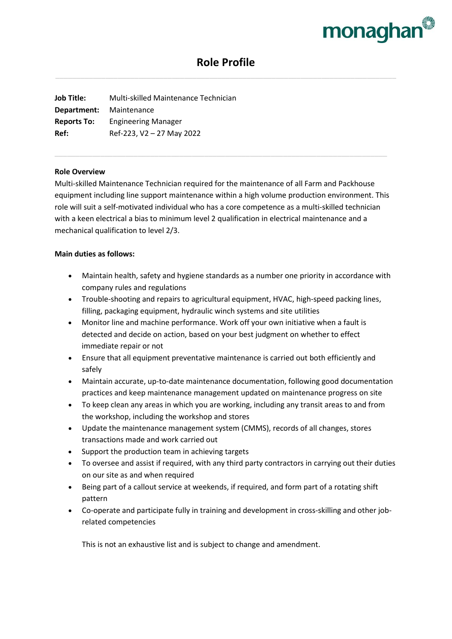

# **Role Profile**

**Job Title:** Multi-skilled Maintenance Technician **Department:** Maintenance **Reports To:** Engineering Manager **Ref:** Ref-223, V2 – 27 May 2022

#### **Role Overview**

Multi-skilled Maintenance Technician required for the maintenance of all Farm and Packhouse equipment including line support maintenance within a high volume production environment. This role will suit a self-motivated individual who has a core competence as a multi-skilled technician with a keen electrical a bias to minimum level 2 qualification in electrical maintenance and a mechanical qualification to level 2/3.

### **Main duties as follows:**

- Maintain health, safety and hygiene standards as a number one priority in accordance with company rules and regulations
- Trouble-shooting and repairs to agricultural equipment, HVAC, high-speed packing lines, filling, packaging equipment, hydraulic winch systems and site utilities
- Monitor line and machine performance. Work off your own initiative when a fault is detected and decide on action, based on your best judgment on whether to effect immediate repair or not
- Ensure that all equipment preventative maintenance is carried out both efficiently and safely
- Maintain accurate, up-to-date maintenance documentation, following good documentation practices and keep maintenance management updated on maintenance progress on site
- To keep clean any areas in which you are working, including any transit areas to and from the workshop, including the workshop and stores
- Update the maintenance management system (CMMS), records of all changes, stores transactions made and work carried out
- Support the production team in achieving targets
- To oversee and assist if required, with any third party contractors in carrying out their duties on our site as and when required
- Being part of a callout service at weekends, if required, and form part of a rotating shift pattern
- Co-operate and participate fully in training and development in cross-skilling and other jobrelated competencies

This is not an exhaustive list and is subject to change and amendment.